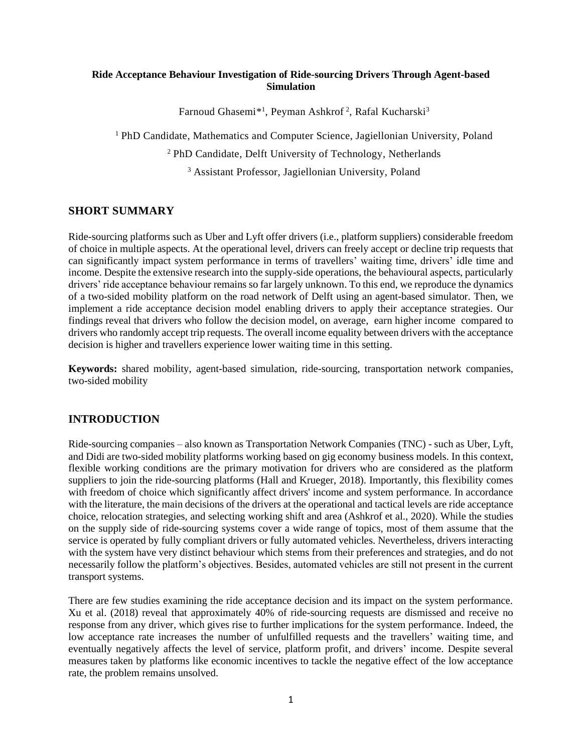## **Ride Acceptance Behaviour Investigation of Ride-sourcing Drivers Through Agent-based Simulation**

Farnoud Ghasemi<sup>\*1</sup>, Peyman Ashkrof<sup>2</sup>, Rafal Kucharski<sup>3</sup>

<sup>1</sup> PhD Candidate, Mathematics and Computer Science, Jagiellonian University, Poland

<sup>2</sup> PhD Candidate, Delft University of Technology, Netherlands

<sup>3</sup> Assistant Professor, Jagiellonian University, Poland

## **SHORT SUMMARY**

Ride-sourcing platforms such as Uber and Lyft offer drivers (i.e., platform suppliers) considerable freedom of choice in multiple aspects. At the operational level, drivers can freely accept or decline trip requests that can significantly impact system performance in terms of travellers' waiting time, drivers' idle time and income. Despite the extensive research into the supply-side operations, the behavioural aspects, particularly drivers' ride acceptance behaviour remains so far largely unknown. To this end, we reproduce the dynamics of a two-sided mobility platform on the road network of Delft using an agent-based simulator. Then, we implement a ride acceptance decision model enabling drivers to apply their acceptance strategies. Our findings reveal that drivers who follow the decision model, on average, earn higher income compared to drivers who randomly accept trip requests. The overall income equality between drivers with the acceptance decision is higher and travellers experience lower waiting time in this setting.

**Keywords:** shared mobility, agent-based simulation, ride-sourcing, transportation network companies, two-sided mobility

## **INTRODUCTION**

Ride-sourcing companies – also known as Transportation Network Companies (TNC) - such as Uber, Lyft, and Didi are two-sided mobility platforms working based on gig economy business models. In this context, flexible working conditions are the primary motivation for drivers who are considered as the platform suppliers to join the ride-sourcing platforms (Hall and Krueger, 2018). Importantly, this flexibility comes with freedom of choice which significantly affect drivers' income and system performance. In accordance with the literature, the main decisions of the drivers at the operational and tactical levels are ride acceptance choice, relocation strategies, and selecting working shift and area (Ashkrof et al., 2020). While the studies on the supply side of ride-sourcing systems cover a wide range of topics, most of them assume that the service is operated by fully compliant drivers or fully automated vehicles. Nevertheless, drivers interacting with the system have very distinct behaviour which stems from their preferences and strategies, and do not necessarily follow the platform's objectives. Besides, automated vehicles are still not present in the current transport systems.

There are few studies examining the ride acceptance decision and its impact on the system performance. Xu et al. (2018) reveal that approximately 40% of ride-sourcing requests are dismissed and receive no response from any driver, which gives rise to further implications for the system performance. Indeed, the low acceptance rate increases the number of unfulfilled requests and the travellers' waiting time, and eventually negatively affects the level of service, platform profit, and drivers' income. Despite several measures taken by platforms like economic incentives to tackle the negative effect of the low acceptance rate, the problem remains unsolved.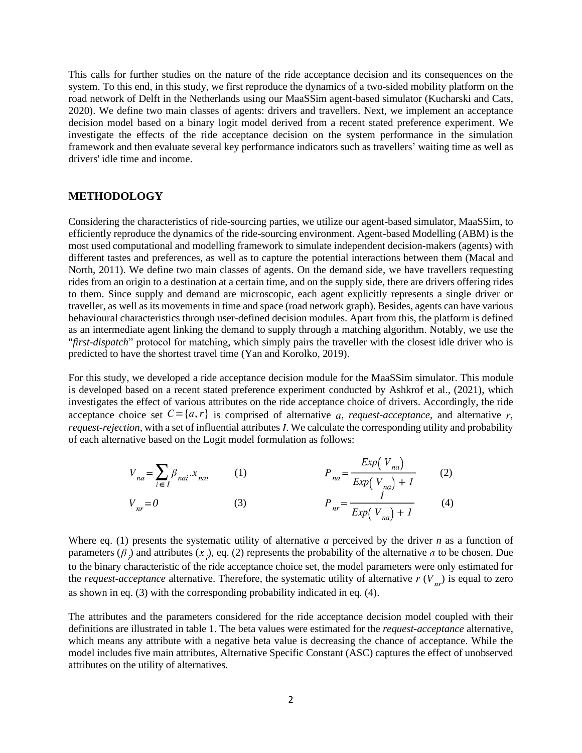This calls for further studies on the nature of the ride acceptance decision and its consequences on the system. To this end, in this study, we first reproduce the dynamics of a two-sided mobility platform on the road network of Delft in the Netherlands using our MaaSSim agent-based simulator (Kucharski and Cats, 2020). We define two main classes of agents: drivers and travellers. Next, we implement an acceptance decision model based on a binary logit model derived from a recent stated preference experiment. We investigate the effects of the ride acceptance decision on the system performance in the simulation framework and then evaluate several key performance indicators such as travellers' waiting time as well as drivers' idle time and income.

### **METHODOLOGY**

Considering the characteristics of ride-sourcing parties, we utilize our agent-based simulator, MaaSSim, to efficiently reproduce the dynamics of the ride-sourcing environment. Agent-based Modelling (ABM) is the most used computational and modelling framework to simulate independent decision-makers (agents) with different tastes and preferences, as well as to capture the potential interactions between them (Macal and North, 2011). We define two main classes of agents. On the demand side, we have travellers requesting rides from an origin to a destination at a certain time, and on the supply side, there are drivers offering rides to them. Since supply and demand are microscopic, each agent explicitly represents a single driver or traveller, as well as its movements in time and space (road network graph). Besides, agents can have various behavioural characteristics through user-defined decision modules. Apart from this, the platform is defined as an intermediate agent linking the demand to supply through a matching algorithm. Notably, we use the "*first-dispatch*" protocol for matching, which simply pairs the traveller with the closest idle driver who is predicted to have the shortest travel time (Yan and Korolko, 2019).

For this study, we developed a ride acceptance decision module for the MaaSSim simulator. This module is developed based on a recent stated preference experiment conducted by Ashkrof et al., (2021), which investigates the effect of various attributes on the ride acceptance choice of drivers. Accordingly, the ride acceptance choice set  $C = \{a, r\}$  is comprised of alternative a, *request-acceptance*, and alternative r,  $request-rejection$ , with a set of influential attributes  $I$ . We calculate the corresponding utility and probability of each alternative based on the Logit model formulation as follows:

$$
V_{na} = \sum_{i \in I} \beta_{nai} \cdot x_{nai}
$$
 (1) 
$$
P_{na} = \frac{Exp(V_{na})}{Exp(V_{na}) + 1}
$$
 (2)  

$$
V_{nr} = 0
$$
 (3) 
$$
P_{nr} = \frac{I}{Exp(V_{na}) + 1}
$$
 (4)

Where eq. (1) presents the systematic utility of alternative *a* perceived by the driver *n* as a function of parameters ( $\beta$ ,) and attributes (x,), eq. (2) represents the probability of the alternative a to be chosen. Due to the binary characteristic of the ride acceptance choice set, the model parameters were only estimated for the *request-acceptance* alternative. Therefore, the systematic utility of alternative  $r(V_{n})$  is equal to zero as shown in eq. (3) with the corresponding probability indicated in eq. (4).

The attributes and the parameters considered for the ride acceptance decision model coupled with their definitions are illustrated in table 1. The beta values were estimated for the *request-acceptance* alternative, which means any attribute with a negative beta value is decreasing the chance of acceptance. While the model includes five main attributes, Alternative Specific Constant (ASC) captures the effect of unobserved attributes on the utility of alternatives.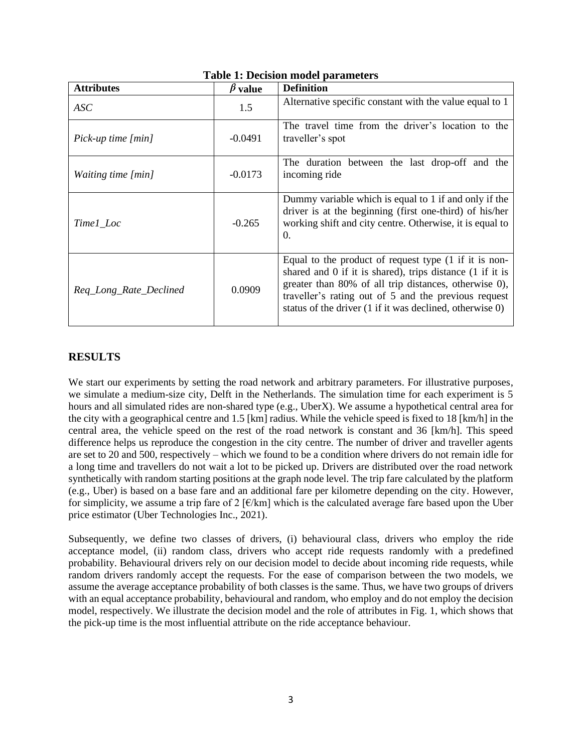| <b>Attributes</b>         | $\beta$ value | <b>Definition</b>                                                                                                                                                                                                                                                                                   |
|---------------------------|---------------|-----------------------------------------------------------------------------------------------------------------------------------------------------------------------------------------------------------------------------------------------------------------------------------------------------|
| ASC                       | 1.5           | Alternative specific constant with the value equal to 1                                                                                                                                                                                                                                             |
| Pick-up time [min]        | $-0.0491$     | The travel time from the driver's location to the<br>traveller's spot                                                                                                                                                                                                                               |
| <i>Waiting time [min]</i> | $-0.0173$     | The duration between the last drop-off and the<br>incoming ride                                                                                                                                                                                                                                     |
| Time1_Loc                 | $-0.265$      | Dummy variable which is equal to 1 if and only if the<br>driver is at the beginning (first one-third) of his/her<br>working shift and city centre. Otherwise, it is equal to<br>$\Omega$ .                                                                                                          |
| Req_Long_Rate_Declined    | 0.0909        | Equal to the product of request type (1 if it is non-<br>shared and $0$ if it is shared), trips distance $(1$ if it is<br>greater than 80% of all trip distances, otherwise 0),<br>traveller's rating out of 5 and the previous request<br>status of the driver (1 if it was declined, otherwise 0) |

# **Table 1: Decision model parameters**

# **RESULTS**

We start our experiments by setting the road network and arbitrary parameters. For illustrative purposes, we simulate a medium-size city, Delft in the Netherlands. The simulation time for each experiment is 5 hours and all simulated rides are non-shared type (e.g., UberX). We assume a hypothetical central area for the city with a geographical centre and 1.5 [km] radius. While the vehicle speed is fixed to 18 [km/h] in the central area, the vehicle speed on the rest of the road network is constant and 36 [km/h]. This speed difference helps us reproduce the congestion in the city centre. The number of driver and traveller agents are set to 20 and 500, respectively – which we found to be a condition where drivers do not remain idle for a long time and travellers do not wait a lot to be picked up. Drivers are distributed over the road network synthetically with random starting positions at the graph node level. The trip fare calculated by the platform (e.g., Uber) is based on a base fare and an additional fare per kilometre depending on the city. However, for simplicity, we assume a trip fare of 2  $\left[\frac{\epsilon}{km}\right]$  which is the calculated average fare based upon the Uber price estimator (Uber Technologies Inc., 2021).

Subsequently, we define two classes of drivers, (i) behavioural class, drivers who employ the ride acceptance model, (ii) random class, drivers who accept ride requests randomly with a predefined probability. Behavioural drivers rely on our decision model to decide about incoming ride requests, while random drivers randomly accept the requests. For the ease of comparison between the two models, we assume the average acceptance probability of both classes is the same. Thus, we have two groups of drivers with an equal acceptance probability, behavioural and random, who employ and do not employ the decision model, respectively. We illustrate the decision model and the role of attributes in Fig. 1, which shows that the pick-up time is the most influential attribute on the ride acceptance behaviour.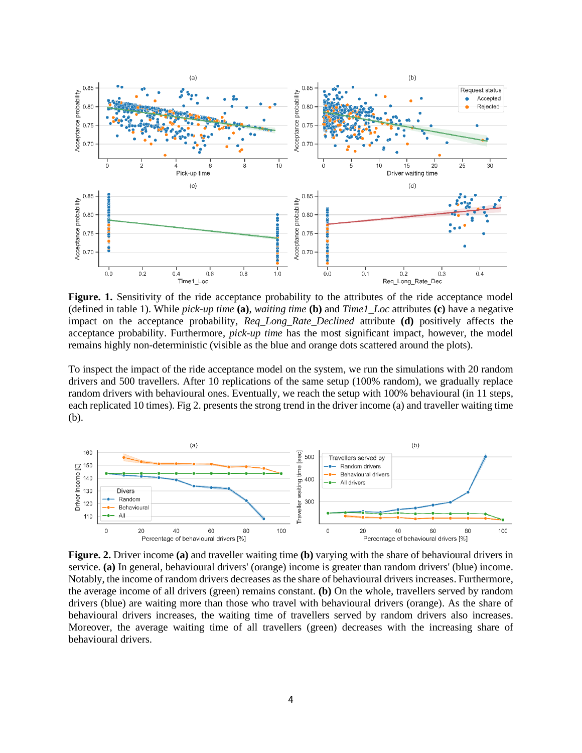

Figure. 1. Sensitivity of the ride acceptance probability to the attributes of the ride acceptance model (defined in table 1). While *pick-up time* **(a)**, *waiting time* **(b)** and *Time1\_Loc* attributes **(c)** have a negative impact on the acceptance probability, *Req\_Long\_Rate\_Declined* attribute **(d)** positively affects the acceptance probability. Furthermore, *pick-up time* has the most significant impact, however, the model remains highly non-deterministic (visible as the blue and orange dots scattered around the plots).

To inspect the impact of the ride acceptance model on the system, we run the simulations with 20 random drivers and 500 travellers. After 10 replications of the same setup (100% random), we gradually replace random drivers with behavioural ones. Eventually, we reach the setup with 100% behavioural (in 11 steps, each replicated 10 times). Fig 2. presents the strong trend in the driver income (a) and traveller waiting time (b).



**Figure. 2.** Driver income **(a)** and traveller waiting time **(b)** varying with the share of behavioural drivers in service. **(a)** In general, behavioural drivers' (orange) income is greater than random drivers' (blue) income. Notably, the income of random drivers decreases as the share of behavioural drivers increases. Furthermore, the average income of all drivers (green) remains constant. **(b)** On the whole, travellers served by random drivers (blue) are waiting more than those who travel with behavioural drivers (orange). As the share of behavioural drivers increases, the waiting time of travellers served by random drivers also increases. Moreover, the average waiting time of all travellers (green) decreases with the increasing share of behavioural drivers.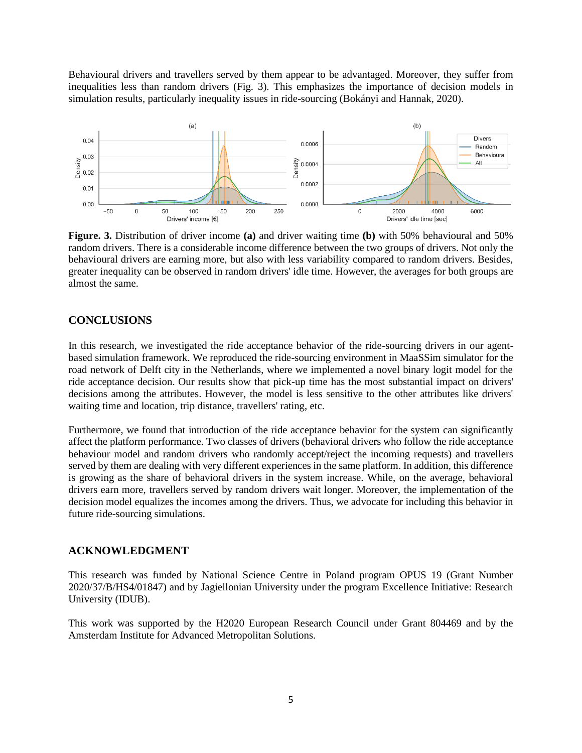Behavioural drivers and travellers served by them appear to be advantaged. Moreover, they suffer from inequalities less than random drivers (Fig. 3). This emphasizes the importance of decision models in simulation results, particularly inequality issues in ride-sourcing (Bokányi and Hannak, 2020).



**Figure. 3.** Distribution of driver income **(a)** and driver waiting time **(b)** with 50% behavioural and 50% random drivers. There is a considerable income difference between the two groups of drivers. Not only the behavioural drivers are earning more, but also with less variability compared to random drivers. Besides, greater inequality can be observed in random drivers' idle time. However, the averages for both groups are almost the same.

### **CONCLUSIONS**

In this research, we investigated the ride acceptance behavior of the ride-sourcing drivers in our agentbased simulation framework. We reproduced the ride-sourcing environment in MaaSSim simulator for the road network of Delft city in the Netherlands, where we implemented a novel binary logit model for the ride acceptance decision. Our results show that pick-up time has the most substantial impact on drivers' decisions among the attributes. However, the model is less sensitive to the other attributes like drivers' waiting time and location, trip distance, travellers' rating, etc.

Furthermore, we found that introduction of the ride acceptance behavior for the system can significantly affect the platform performance. Two classes of drivers (behavioral drivers who follow the ride acceptance behaviour model and random drivers who randomly accept/reject the incoming requests) and travellers served by them are dealing with very different experiences in the same platform. In addition, this difference is growing as the share of behavioral drivers in the system increase. While, on the average, behavioral drivers earn more, travellers served by random drivers wait longer. Moreover, the implementation of the decision model equalizes the incomes among the drivers. Thus, we advocate for including this behavior in future ride-sourcing simulations.

### **ACKNOWLEDGMENT**

This research was funded by National Science Centre in Poland program OPUS 19 (Grant Number 2020/37/B/HS4/01847) and by Jagiellonian University under the program Excellence Initiative: Research University (IDUB).

This work was supported by the H2020 European Research Council under Grant 804469 and by the Amsterdam Institute for Advanced Metropolitan Solutions.